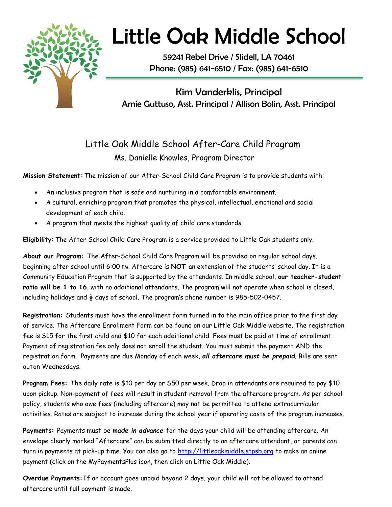

## Little Oak Middle School

59241 Rebel Drive / Slidell, LA 70461 Phone: (985) 641-6510 / Fax: (985) 641-6510

Kim Vanderklis, Principal Amie Guttuso, Asst. Principal / Allison Bolin, Asst. Principal

## Little Oak Middle School After-Care Child Program Ms. Danielle Knowles, Program Director

**Mission Statement:**The mission of our After-School Child Care Program is to provide students with:

- An inclusive program that is safe and nurturing in a comfortable environment.
- A cultural, enriching program that promotes the physical, intellectual, emotional and social development of each child.
- A program that meets the highest quality of child care standards.

**Eligibility:** The After School Child Care Program is a service provided to Little Oak students only.

**About our Program:** The After-School Child Care Program will be provided on regular school days, beginning after school until 6:00 PM. Aftercare is **NOT** an extension of the students' school day. It is a Community Education Program that is supported by the attendants. In middle school, **our teacher-student ratio will be 1 to 16**, with no additional attendants. The program will not operate when school is closed, including holidays and  $\frac{1}{2}$  days of school. The program's phone number is 985-502-0457.

**Registration:** Students must have the enrollment form turned in to the main office prior to the first day of service. The Aftercare Enrollment Form can be found on our Little Oak Middle website. The registration fee is \$15 for the first child and \$10 for each additional child. Fees must be paid at time of enrollment. Payment of registration fee only does not enroll the student. You must submit the payment AND the registration form. Payments are due Monday of each week, *all aftercare must be prepaid*. Bills are sent outon Wednesdays.

**Program Fees:** The daily rate is \$10 per day or \$50 per week. Drop in attendants are required to pay \$10 upon pickup. Non-payment of fees will result in student removal from the aftercare program. As per school policy, students who owe fees (including aftercare) may not be permitted to attend extracurricular activities. Rates are subject to increase during the school year if operating costs of the program increases.

**Payments:** Payments must be *made in advance* for the days your child will be attending aftercare. An envelope clearly marked "Aftercare" can be submitted directly to an aftercare attendant, or parents can turn in payments at pick-up time. You can also go to [http://littleoakmiddle.stpsb.org](http://littleoakmiddle.stpsb.org/) to make an online payment (click on the MyPaymentsPlus icon, then click on Little Oak Middle).

**Overdue Payments:**If an account goes unpaid beyond 2 days, your child will not be allowed to attend aftercare until full payment is made.